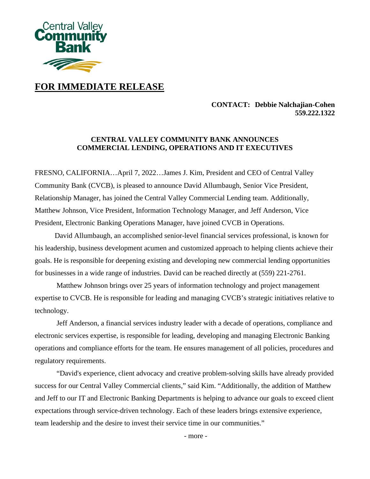

# **FOR IMMEDIATE RELEASE**

### **CONTACT: Debbie Nalchajian-Cohen 559.222.1322**

## **CENTRAL VALLEY COMMUNITY BANK ANNOUNCES COMMERCIAL LENDING, OPERATIONS AND IT EXECUTIVES**

FRESNO, CALIFORNIA…April 7, 2022…James J. Kim, President and CEO of Central Valley Community Bank (CVCB), is pleased to announce David Allumbaugh, Senior Vice President, Relationship Manager, has joined the Central Valley Commercial Lending team. Additionally, Matthew Johnson, Vice President, Information Technology Manager, and Jeff Anderson, Vice President, Electronic Banking Operations Manager, have joined CVCB in Operations.

 David Allumbaugh, an accomplished senior-level financial services professional, is known for his leadership, business development acumen and customized approach to helping clients achieve their goals. He is responsible for deepening existing and developing new commercial lending opportunities for businesses in a wide range of industries. David can be reached directly at (559) 221-2761.

Matthew Johnson brings over 25 years of information technology and project management expertise to CVCB. He is responsible for leading and managing CVCB's strategic initiatives relative to technology.

Jeff Anderson, a financial services industry leader with a decade of operations, compliance and electronic services expertise, is responsible for leading, developing and managing Electronic Banking operations and compliance efforts for the team. He ensures management of all policies, procedures and regulatory requirements.

"David's experience, client advocacy and creative problem-solving skills have already provided success for our Central Valley Commercial clients," said Kim. "Additionally, the addition of Matthew and Jeff to our IT and Electronic Banking Departments is helping to advance our goals to exceed client expectations through service-driven technology. Each of these leaders brings extensive experience, team leadership and the desire to invest their service time in our communities."

- more -